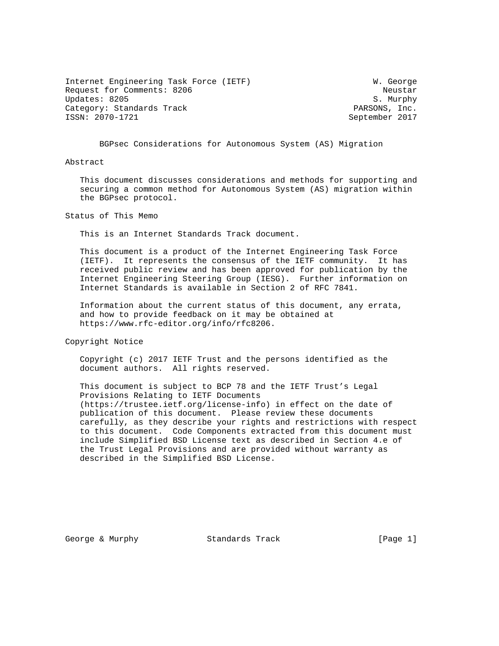Internet Engineering Task Force (IETF) W. George Request for Comments: 8206 Neustar Updates: 8205 S. Murphy Category: Standards Track and the Category: Standards Track PARSONS, Inc.<br>
1992 - ISSN: 2070-1721

September 2017

BGPsec Considerations for Autonomous System (AS) Migration

Abstract

 This document discusses considerations and methods for supporting and securing a common method for Autonomous System (AS) migration within the BGPsec protocol.

Status of This Memo

This is an Internet Standards Track document.

 This document is a product of the Internet Engineering Task Force (IETF). It represents the consensus of the IETF community. It has received public review and has been approved for publication by the Internet Engineering Steering Group (IESG). Further information on Internet Standards is available in Section 2 of RFC 7841.

 Information about the current status of this document, any errata, and how to provide feedback on it may be obtained at https://www.rfc-editor.org/info/rfc8206.

Copyright Notice

 Copyright (c) 2017 IETF Trust and the persons identified as the document authors. All rights reserved.

 This document is subject to BCP 78 and the IETF Trust's Legal Provisions Relating to IETF Documents (https://trustee.ietf.org/license-info) in effect on the date of publication of this document. Please review these documents carefully, as they describe your rights and restrictions with respect to this document. Code Components extracted from this document must include Simplified BSD License text as described in Section 4.e of the Trust Legal Provisions and are provided without warranty as described in the Simplified BSD License.

George & Murphy **Standards Track** [Page 1]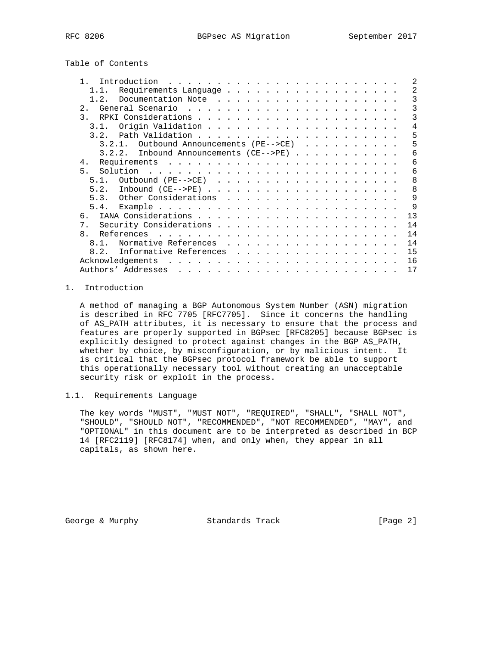Table of Contents

| 2<br>Introduction                              |
|------------------------------------------------|
| 2<br>Requirements Language                     |
| 3<br>$1\quad 2$                                |
| 3<br>2.                                        |
| 3<br>$\mathcal{F}$ .                           |
| 4<br>3.1.                                      |
| 5                                              |
| 5<br>$3.2.1.$ Outbound Announcements (PE-->CE) |
| Inbound Announcements (CE-->PE)<br>6<br>3.2.2. |
| 6<br>4.                                        |
| 5.<br>6                                        |
| 8<br>5 1                                       |
| 8<br>5.2.                                      |
| 5.3. Other Considerations<br>$\mathsf{Q}$      |
| 9                                              |
| 13<br>რ —                                      |
| 14<br>7 <sub>1</sub>                           |
| 14<br>$\mathsf{R}$                             |
| Normative References<br>14<br>8 1              |
| Informative References<br>15<br>8.2.           |
| 16<br>Acknowledgements                         |
| Authors' Addresses<br>17                       |
|                                                |

## 1. Introduction

 A method of managing a BGP Autonomous System Number (ASN) migration is described in RFC 7705 [RFC7705]. Since it concerns the handling of AS\_PATH attributes, it is necessary to ensure that the process and features are properly supported in BGPsec [RFC8205] because BGPsec is explicitly designed to protect against changes in the BGP AS\_PATH, whether by choice, by misconfiguration, or by malicious intent. It is critical that the BGPsec protocol framework be able to support this operationally necessary tool without creating an unacceptable security risk or exploit in the process.

## 1.1. Requirements Language

 The key words "MUST", "MUST NOT", "REQUIRED", "SHALL", "SHALL NOT", "SHOULD", "SHOULD NOT", "RECOMMENDED", "NOT RECOMMENDED", "MAY", and "OPTIONAL" in this document are to be interpreted as described in BCP 14 [RFC2119] [RFC8174] when, and only when, they appear in all capitals, as shown here.

George & Murphy **Standards Track** [Page 2]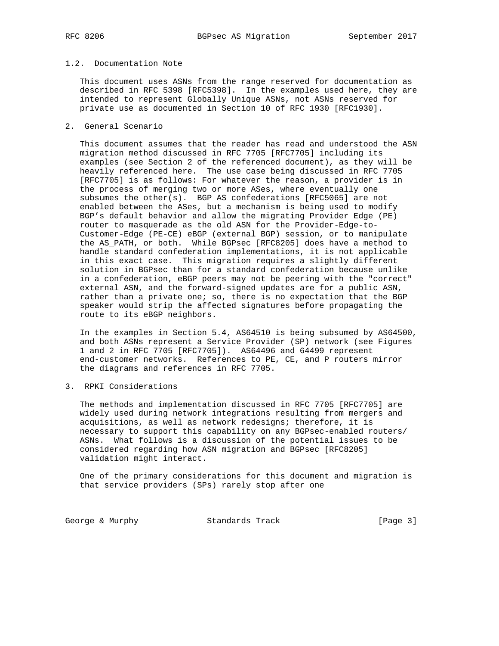## 1.2. Documentation Note

 This document uses ASNs from the range reserved for documentation as described in RFC 5398 [RFC5398]. In the examples used here, they are intended to represent Globally Unique ASNs, not ASNs reserved for private use as documented in Section 10 of RFC 1930 [RFC1930].

2. General Scenario

 This document assumes that the reader has read and understood the ASN migration method discussed in RFC 7705 [RFC7705] including its examples (see Section 2 of the referenced document), as they will be heavily referenced here. The use case being discussed in RFC 7705 [RFC7705] is as follows: For whatever the reason, a provider is in the process of merging two or more ASes, where eventually one subsumes the other(s). BGP AS confederations [RFC5065] are not enabled between the ASes, but a mechanism is being used to modify BGP's default behavior and allow the migrating Provider Edge (PE) router to masquerade as the old ASN for the Provider-Edge-to- Customer-Edge (PE-CE) eBGP (external BGP) session, or to manipulate the AS\_PATH, or both. While BGPsec [RFC8205] does have a method to handle standard confederation implementations, it is not applicable in this exact case. This migration requires a slightly different solution in BGPsec than for a standard confederation because unlike in a confederation, eBGP peers may not be peering with the "correct" external ASN, and the forward-signed updates are for a public ASN, rather than a private one; so, there is no expectation that the BGP speaker would strip the affected signatures before propagating the route to its eBGP neighbors.

 In the examples in Section 5.4, AS64510 is being subsumed by AS64500, and both ASNs represent a Service Provider (SP) network (see Figures 1 and 2 in RFC 7705 [RFC7705]). AS64496 and 64499 represent end-customer networks. References to PE, CE, and P routers mirror the diagrams and references in RFC 7705.

3. RPKI Considerations

 The methods and implementation discussed in RFC 7705 [RFC7705] are widely used during network integrations resulting from mergers and acquisitions, as well as network redesigns; therefore, it is necessary to support this capability on any BGPsec-enabled routers/ ASNs. What follows is a discussion of the potential issues to be considered regarding how ASN migration and BGPsec [RFC8205] validation might interact.

 One of the primary considerations for this document and migration is that service providers (SPs) rarely stop after one

George & Murphy **Standards Track** [Page 3]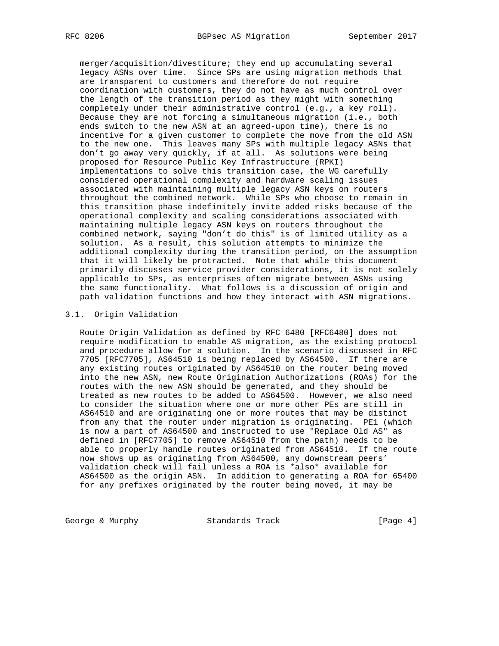merger/acquisition/divestiture; they end up accumulating several legacy ASNs over time. Since SPs are using migration methods that are transparent to customers and therefore do not require coordination with customers, they do not have as much control over the length of the transition period as they might with something completely under their administrative control (e.g., a key roll). Because they are not forcing a simultaneous migration (i.e., both ends switch to the new ASN at an agreed-upon time), there is no incentive for a given customer to complete the move from the old ASN to the new one. This leaves many SPs with multiple legacy ASNs that don't go away very quickly, if at all. As solutions were being proposed for Resource Public Key Infrastructure (RPKI) implementations to solve this transition case, the WG carefully considered operational complexity and hardware scaling issues associated with maintaining multiple legacy ASN keys on routers throughout the combined network. While SPs who choose to remain in this transition phase indefinitely invite added risks because of the operational complexity and scaling considerations associated with maintaining multiple legacy ASN keys on routers throughout the combined network, saying "don't do this" is of limited utility as a solution. As a result, this solution attempts to minimize the additional complexity during the transition period, on the assumption that it will likely be protracted. Note that while this document primarily discusses service provider considerations, it is not solely applicable to SPs, as enterprises often migrate between ASNs using the same functionality. What follows is a discussion of origin and path validation functions and how they interact with ASN migrations.

#### 3.1. Origin Validation

 Route Origin Validation as defined by RFC 6480 [RFC6480] does not require modification to enable AS migration, as the existing protocol and procedure allow for a solution. In the scenario discussed in RFC 7705 [RFC7705], AS64510 is being replaced by AS64500. If there are any existing routes originated by AS64510 on the router being moved into the new ASN, new Route Origination Authorizations (ROAs) for the routes with the new ASN should be generated, and they should be treated as new routes to be added to AS64500. However, we also need to consider the situation where one or more other PEs are still in AS64510 and are originating one or more routes that may be distinct from any that the router under migration is originating. PE1 (which is now a part of AS64500 and instructed to use "Replace Old AS" as defined in [RFC7705] to remove AS64510 from the path) needs to be able to properly handle routes originated from AS64510. If the route now shows up as originating from AS64500, any downstream peers' validation check will fail unless a ROA is \*also\* available for AS64500 as the origin ASN. In addition to generating a ROA for 65400 for any prefixes originated by the router being moved, it may be

George & Murphy Standards Track [Page 4]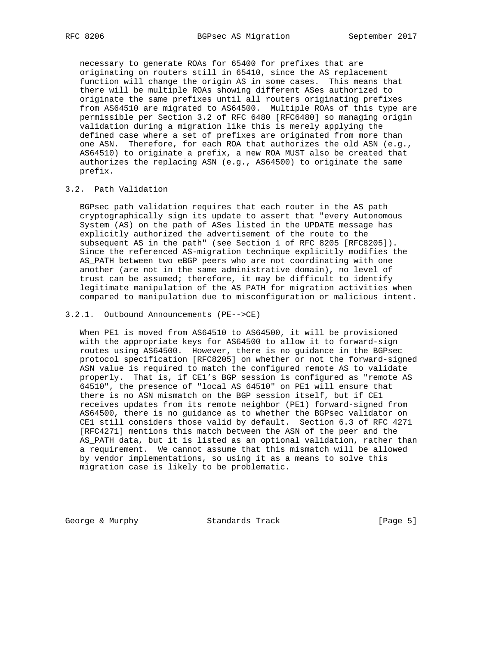necessary to generate ROAs for 65400 for prefixes that are originating on routers still in 65410, since the AS replacement function will change the origin AS in some cases. This means that there will be multiple ROAs showing different ASes authorized to originate the same prefixes until all routers originating prefixes from AS64510 are migrated to AS64500. Multiple ROAs of this type are permissible per Section 3.2 of RFC 6480 [RFC6480] so managing origin validation during a migration like this is merely applying the defined case where a set of prefixes are originated from more than one ASN. Therefore, for each ROA that authorizes the old ASN (e.g., AS64510) to originate a prefix, a new ROA MUST also be created that authorizes the replacing ASN (e.g., AS64500) to originate the same prefix.

## 3.2. Path Validation

 BGPsec path validation requires that each router in the AS path cryptographically sign its update to assert that "every Autonomous System (AS) on the path of ASes listed in the UPDATE message has explicitly authorized the advertisement of the route to the subsequent AS in the path" (see Section 1 of RFC 8205 [RFC8205]). Since the referenced AS-migration technique explicitly modifies the AS\_PATH between two eBGP peers who are not coordinating with one another (are not in the same administrative domain), no level of trust can be assumed; therefore, it may be difficult to identify legitimate manipulation of the AS\_PATH for migration activities when compared to manipulation due to misconfiguration or malicious intent.

### 3.2.1. Outbound Announcements (PE-->CE)

 When PE1 is moved from AS64510 to AS64500, it will be provisioned with the appropriate keys for AS64500 to allow it to forward-sign routes using AS64500. However, there is no guidance in the BGPsec protocol specification [RFC8205] on whether or not the forward-signed ASN value is required to match the configured remote AS to validate properly. That is, if CE1's BGP session is configured as "remote AS 64510", the presence of "local AS 64510" on PE1 will ensure that there is no ASN mismatch on the BGP session itself, but if CE1 receives updates from its remote neighbor (PE1) forward-signed from AS64500, there is no guidance as to whether the BGPsec validator on CE1 still considers those valid by default. Section 6.3 of RFC 4271 [RFC4271] mentions this match between the ASN of the peer and the AS\_PATH data, but it is listed as an optional validation, rather than a requirement. We cannot assume that this mismatch will be allowed by vendor implementations, so using it as a means to solve this migration case is likely to be problematic.

George & Murphy **Standards Track** [Page 5]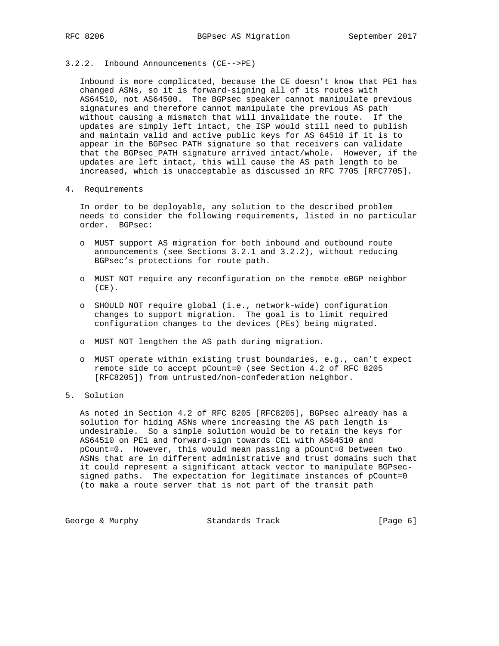#### 3.2.2. Inbound Announcements (CE-->PE)

 Inbound is more complicated, because the CE doesn't know that PE1 has changed ASNs, so it is forward-signing all of its routes with AS64510, not AS64500. The BGPsec speaker cannot manipulate previous signatures and therefore cannot manipulate the previous AS path without causing a mismatch that will invalidate the route. If the updates are simply left intact, the ISP would still need to publish and maintain valid and active public keys for AS 64510 if it is to appear in the BGPsec\_PATH signature so that receivers can validate that the BGPsec\_PATH signature arrived intact/whole. However, if the updates are left intact, this will cause the AS path length to be increased, which is unacceptable as discussed in RFC 7705 [RFC7705].

#### 4. Requirements

 In order to be deployable, any solution to the described problem needs to consider the following requirements, listed in no particular order. BGPsec:

- o MUST support AS migration for both inbound and outbound route announcements (see Sections 3.2.1 and 3.2.2), without reducing BGPsec's protections for route path.
- o MUST NOT require any reconfiguration on the remote eBGP neighbor  $(CE)$ .
- o SHOULD NOT require global (i.e., network-wide) configuration changes to support migration. The goal is to limit required configuration changes to the devices (PEs) being migrated.
- o MUST NOT lengthen the AS path during migration.
- o MUST operate within existing trust boundaries, e.g., can't expect remote side to accept pCount=0 (see Section 4.2 of RFC 8205 [RFC8205]) from untrusted/non-confederation neighbor.

## 5. Solution

 As noted in Section 4.2 of RFC 8205 [RFC8205], BGPsec already has a solution for hiding ASNs where increasing the AS path length is undesirable. So a simple solution would be to retain the keys for AS64510 on PE1 and forward-sign towards CE1 with AS64510 and pCount=0. However, this would mean passing a pCount=0 between two ASNs that are in different administrative and trust domains such that it could represent a significant attack vector to manipulate BGPsec signed paths. The expectation for legitimate instances of pCount=0 (to make a route server that is not part of the transit path

George & Murphy **Standards Track** [Page 6]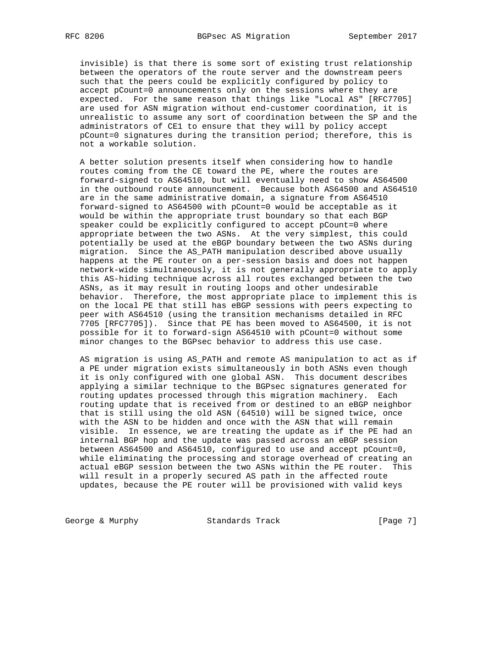invisible) is that there is some sort of existing trust relationship between the operators of the route server and the downstream peers such that the peers could be explicitly configured by policy to accept pCount=0 announcements only on the sessions where they are expected. For the same reason that things like "Local AS" [RFC7705] are used for ASN migration without end-customer coordination, it is unrealistic to assume any sort of coordination between the SP and the administrators of CE1 to ensure that they will by policy accept pCount=0 signatures during the transition period; therefore, this is not a workable solution.

 A better solution presents itself when considering how to handle routes coming from the CE toward the PE, where the routes are forward-signed to AS64510, but will eventually need to show AS64500 in the outbound route announcement. Because both AS64500 and AS64510 are in the same administrative domain, a signature from AS64510 forward-signed to AS64500 with pCount=0 would be acceptable as it would be within the appropriate trust boundary so that each BGP speaker could be explicitly configured to accept pCount=0 where appropriate between the two ASNs. At the very simplest, this could potentially be used at the eBGP boundary between the two ASNs during migration. Since the AS\_PATH manipulation described above usually happens at the PE router on a per-session basis and does not happen network-wide simultaneously, it is not generally appropriate to apply this AS-hiding technique across all routes exchanged between the two ASNs, as it may result in routing loops and other undesirable behavior. Therefore, the most appropriate place to implement this is on the local PE that still has eBGP sessions with peers expecting to peer with AS64510 (using the transition mechanisms detailed in RFC 7705 [RFC7705]). Since that PE has been moved to AS64500, it is not possible for it to forward-sign AS64510 with pCount=0 without some minor changes to the BGPsec behavior to address this use case.

 AS migration is using AS\_PATH and remote AS manipulation to act as if a PE under migration exists simultaneously in both ASNs even though it is only configured with one global ASN. This document describes applying a similar technique to the BGPsec signatures generated for routing updates processed through this migration machinery. Each routing update that is received from or destined to an eBGP neighbor that is still using the old ASN (64510) will be signed twice, once with the ASN to be hidden and once with the ASN that will remain visible. In essence, we are treating the update as if the PE had an internal BGP hop and the update was passed across an eBGP session between AS64500 and AS64510, configured to use and accept pCount=0, while eliminating the processing and storage overhead of creating an actual eBGP session between the two ASNs within the PE router. This will result in a properly secured AS path in the affected route updates, because the PE router will be provisioned with valid keys

George & Murphy Standards Track [Page 7]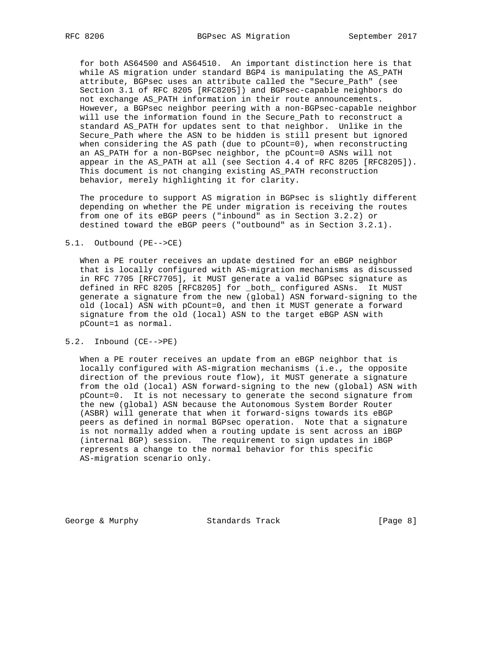for both AS64500 and AS64510. An important distinction here is that while AS migration under standard BGP4 is manipulating the AS\_PATH attribute, BGPsec uses an attribute called the "Secure\_Path" (see Section 3.1 of RFC 8205 [RFC8205]) and BGPsec-capable neighbors do not exchange AS\_PATH information in their route announcements. However, a BGPsec neighbor peering with a non-BGPsec-capable neighbor will use the information found in the Secure\_Path to reconstruct a standard AS\_PATH for updates sent to that neighbor. Unlike in the Secure\_Path where the ASN to be hidden is still present but ignored when considering the AS path (due to pCount=0), when reconstructing an AS\_PATH for a non-BGPsec neighbor, the pCount=0 ASNs will not appear in the AS\_PATH at all (see Section 4.4 of RFC 8205 [RFC8205]). This document is not changing existing AS\_PATH reconstruction behavior, merely highlighting it for clarity.

 The procedure to support AS migration in BGPsec is slightly different depending on whether the PE under migration is receiving the routes from one of its eBGP peers ("inbound" as in Section 3.2.2) or destined toward the eBGP peers ("outbound" as in Section 3.2.1).

### 5.1. Outbound (PE-->CE)

 When a PE router receives an update destined for an eBGP neighbor that is locally configured with AS-migration mechanisms as discussed in RFC 7705 [RFC7705], it MUST generate a valid BGPsec signature as defined in RFC 8205 [RFC8205] for \_both\_ configured ASNs. It MUST generate a signature from the new (global) ASN forward-signing to the old (local) ASN with pCount=0, and then it MUST generate a forward signature from the old (local) ASN to the target eBGP ASN with pCount=1 as normal.

## 5.2. Inbound (CE-->PE)

 When a PE router receives an update from an eBGP neighbor that is locally configured with AS-migration mechanisms (i.e., the opposite direction of the previous route flow), it MUST generate a signature from the old (local) ASN forward-signing to the new (global) ASN with pCount=0. It is not necessary to generate the second signature from the new (global) ASN because the Autonomous System Border Router (ASBR) will generate that when it forward-signs towards its eBGP peers as defined in normal BGPsec operation. Note that a signature is not normally added when a routing update is sent across an iBGP (internal BGP) session. The requirement to sign updates in iBGP represents a change to the normal behavior for this specific AS-migration scenario only.

George & Murphy **Standards Track** [Page 8]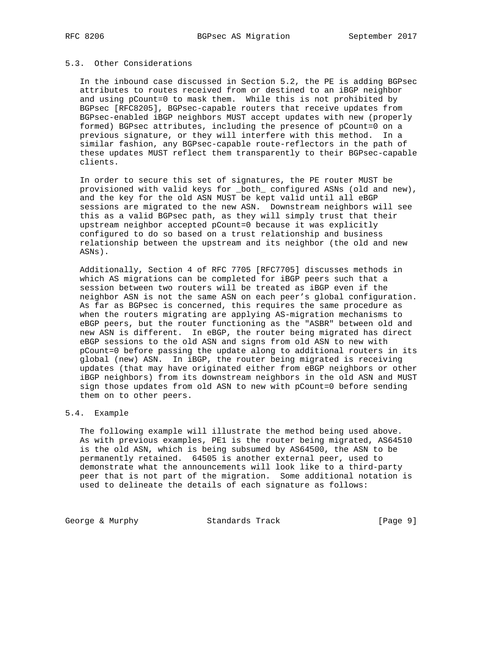## 5.3. Other Considerations

 In the inbound case discussed in Section 5.2, the PE is adding BGPsec attributes to routes received from or destined to an iBGP neighbor and using pCount=0 to mask them. While this is not prohibited by BGPsec [RFC8205], BGPsec-capable routers that receive updates from BGPsec-enabled iBGP neighbors MUST accept updates with new (properly formed) BGPsec attributes, including the presence of pCount=0 on a previous signature, or they will interfere with this method. In a similar fashion, any BGPsec-capable route-reflectors in the path of these updates MUST reflect them transparently to their BGPsec-capable clients.

 In order to secure this set of signatures, the PE router MUST be provisioned with valid keys for \_both\_ configured ASNs (old and new), and the key for the old ASN MUST be kept valid until all eBGP sessions are migrated to the new ASN. Downstream neighbors will see this as a valid BGPsec path, as they will simply trust that their upstream neighbor accepted pCount=0 because it was explicitly configured to do so based on a trust relationship and business relationship between the upstream and its neighbor (the old and new ASNs).

 Additionally, Section 4 of RFC 7705 [RFC7705] discusses methods in which AS migrations can be completed for iBGP peers such that a session between two routers will be treated as iBGP even if the neighbor ASN is not the same ASN on each peer's global configuration. As far as BGPsec is concerned, this requires the same procedure as when the routers migrating are applying AS-migration mechanisms to eBGP peers, but the router functioning as the "ASBR" between old and new ASN is different. In eBGP, the router being migrated has direct eBGP sessions to the old ASN and signs from old ASN to new with pCount=0 before passing the update along to additional routers in its global (new) ASN. In iBGP, the router being migrated is receiving updates (that may have originated either from eBGP neighbors or other iBGP neighbors) from its downstream neighbors in the old ASN and MUST sign those updates from old ASN to new with pCount=0 before sending them on to other peers.

### 5.4. Example

 The following example will illustrate the method being used above. As with previous examples, PE1 is the router being migrated, AS64510 is the old ASN, which is being subsumed by AS64500, the ASN to be permanently retained. 64505 is another external peer, used to demonstrate what the announcements will look like to a third-party peer that is not part of the migration. Some additional notation is used to delineate the details of each signature as follows:

George & Murphy **Standards Track** [Page 9]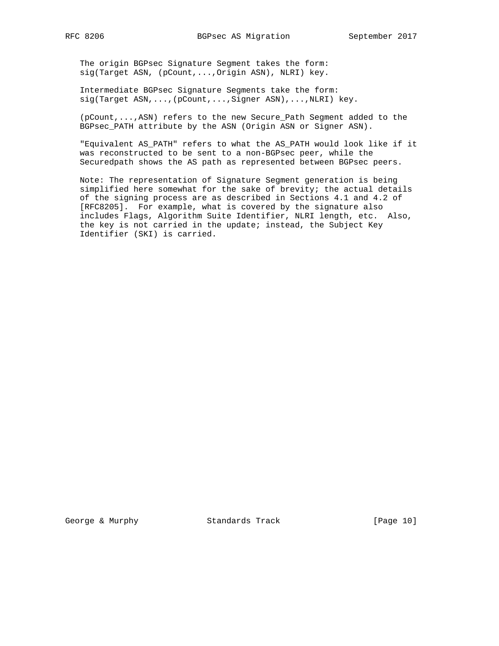The origin BGPsec Signature Segment takes the form: sig(Target ASN, (pCount,...,Origin ASN), NLRI) key.

 Intermediate BGPsec Signature Segments take the form: sig(Target ASN,...,(pCount,...,Signer ASN),...,NLRI) key.

 (pCount,...,ASN) refers to the new Secure\_Path Segment added to the BGPsec\_PATH attribute by the ASN (Origin ASN or Signer ASN).

 "Equivalent AS\_PATH" refers to what the AS\_PATH would look like if it was reconstructed to be sent to a non-BGPsec peer, while the Securedpath shows the AS path as represented between BGPsec peers.

 Note: The representation of Signature Segment generation is being simplified here somewhat for the sake of brevity; the actual details of the signing process are as described in Sections 4.1 and 4.2 of [RFC8205]. For example, what is covered by the signature also includes Flags, Algorithm Suite Identifier, NLRI length, etc. Also, the key is not carried in the update; instead, the Subject Key Identifier (SKI) is carried.

George & Murphy Standards Track [Page 10]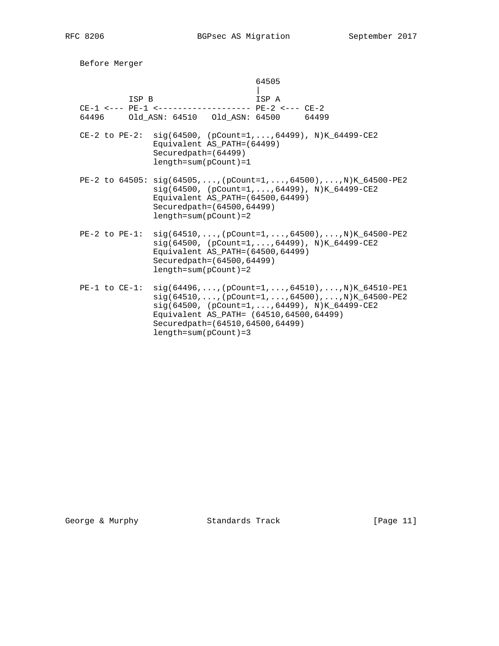Before Merger 64505 | ISP B ISP A CE-1 <--- PE-1 <------------------- PE-2 <--- CE-2 64496 Old\_ASN: 64510 Old\_ASN: 64500 64499 CE-2 to PE-2: sig(64500, (pCount=1,...,64499), N)K\_64499-CE2 Equivalent AS\_PATH=(64499) Securedpath=(64499) length=sum(pCount)=1 PE-2 to 64505: sig(64505,...,(pCount=1,...,64500),...,N)K\_64500-PE2 sig(64500, (pCount=1,...,64499), N)K\_64499-CE2 Equivalent AS\_PATH=(64500,64499) Securedpath=(64500,64499) length=sum(pCount)=2  $PE-2 to PE-1: sig(64510,...,(pCount=1,...,64500),...,N)K_64500-PE2$  sig(64500, (pCount=1,...,64499), N)K\_64499-CE2 Equivalent AS\_PATH=(64500,64499) Securedpath=(64500,64499) length=sum(pCount)=2 PE-1 to CE-1: sig(64496,...,(pCount=1,...,64510),...,N)K\_64510-PE1  $sig(64510,...,[pCount=1,...,64500),...,N)K_64500-PE2$  sig(64500, (pCount=1,...,64499), N)K\_64499-CE2 Equivalent AS\_PATH= (64510,64500,64499) Securedpath=(64510,64500,64499) length=sum(pCount)=3

George & Murphy Standards Track [Page 11]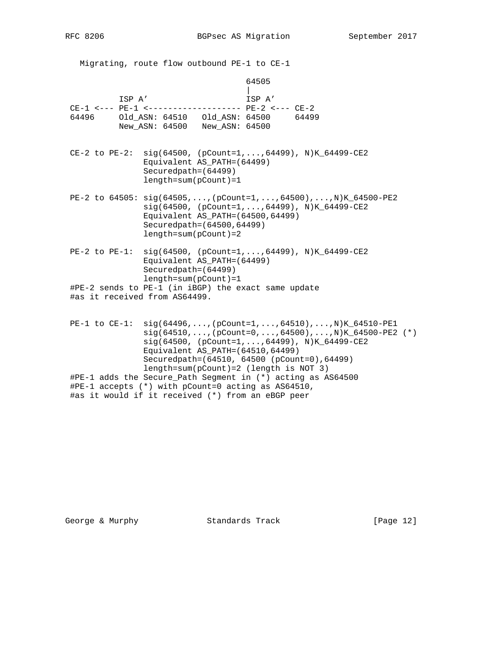Migrating, route flow outbound PE-1 to CE-1 64505 | ISP A' ISP A' CE-1 <--- PE-1 <------------------- PE-2 <--- CE-2 64496 Old\_ASN: 64510 Old\_ASN: 64500 64499 New\_ASN: 64500 New\_ASN: 64500 CE-2 to PE-2: sig(64500, (pCount=1,...,64499), N)K\_64499-CE2 Equivalent AS\_PATH=(64499) Securedpath=(64499) length=sum(pCount)=1 PE-2 to 64505: sig(64505,...,(pCount=1,...,64500),...,N)K\_64500-PE2 sig(64500, (pCount=1,...,64499), N)K\_64499-CE2 Equivalent AS\_PATH=(64500,64499) Securedpath=(64500,64499) length=sum(pCount)=2 PE-2 to PE-1: sig(64500, (pCount=1,...,64499), N)K\_64499-CE2 Equivalent AS\_PATH=(64499) Securedpath=(64499) length=sum(pCount)=1 #PE-2 sends to PE-1 (in iBGP) the exact same update #as it received from AS64499.  $PE-1 to CE-1: sig(64496,...,(pCount=1,...,64510),...,N)K_64510-PEL$  $sig(64510,...,(pCount=0,...,64500),...,N)K_64500-PE2$  (\*) sig(64500, (pCount=1,...,64499), N)K\_64499-CE2 Equivalent AS\_PATH=(64510,64499) Securedpath=(64510, 64500 (pCount=0),64499)

 length=sum(pCount)=2 (length is NOT 3) #PE-1 adds the Secure\_Path Segment in (\*) acting as AS64500 #PE-1 accepts (\*) with pCount=0 acting as AS64510, #as it would if it received (\*) from an eBGP peer

George & Murphy Standards Track [Page 12]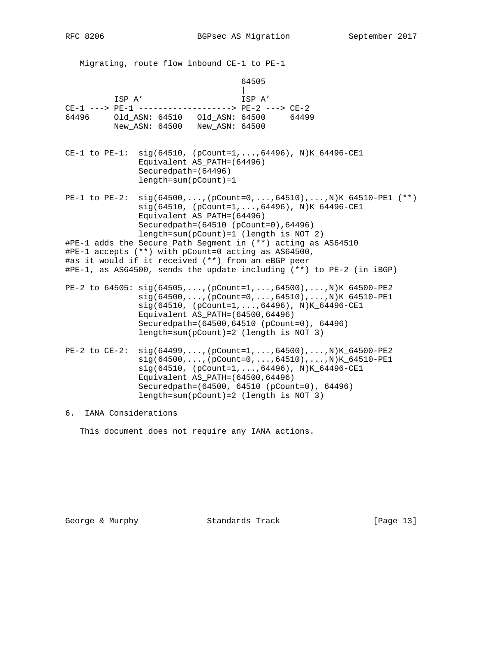Migrating, route flow inbound CE-1 to PE-1 64505 | ISP A' ISP A' CE-1 ---> PE-1 -------------------> PE-2 ---> CE-2 64496 Old\_ASN: 64510 Old\_ASN: 64500 64499 New\_ASN: 64500 New\_ASN: 64500 CE-1 to PE-1: sig(64510, (pCount=1,...,64496), N)K\_64496-CE1 Equivalent AS\_PATH=(64496) Securedpath=(64496) length=sum(pCount)=1 PE-1 to PE-2: sig(64500,...,(pCount=0,...,64510),...,N)K\_64510-PE1 (\*\*) sig(64510, (pCount=1,...,64496), N)K\_64496-CE1 Equivalent AS\_PATH=(64496) Securedpath=(64510 (pCount=0),64496) length=sum(pCount)=1 (length is NOT 2) #PE-1 adds the Secure\_Path Segment in (\*\*) acting as AS64510 #PE-1 accepts (\*\*) with pCount=0 acting as AS64500, #as it would if it received (\*\*) from an eBGP peer #PE-1, as AS64500, sends the update including (\*\*) to PE-2 (in iBGP)  $PE-2$  to 64505:  $sig(64505,...,(pCount=1,...,64500),...,N)K_64500-PE2$  $sig(64500,...,(pCount=0,...,64510),...,N)K_64510-PE1$  sig(64510, (pCount=1,...,64496), N)K\_64496-CE1 Equivalent AS\_PATH=(64500,64496) Securedpath=(64500,64510 (pCount=0), 64496) length=sum(pCount)=2 (length is NOT 3)  $PE-2 to CE-2: sig(64499,...,(pCount=1,...,64500),...,N)K_64500-PE2$  sig(64500,...,(pCount=0,...,64510),...,N)K\_64510-PE1 sig(64510, (pCount=1,...,64496), N)K\_64496-CE1 Equivalent AS\_PATH=(64500,64496) Securedpath=(64500, 64510 (pCount=0), 64496) length=sum(pCount)=2 (length is NOT 3)

6. IANA Considerations

This document does not require any IANA actions.

George & Murphy **Standards Track** [Page 13]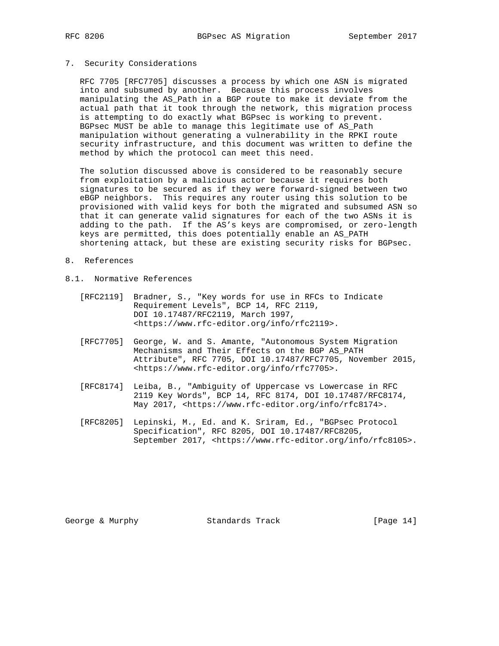# 7. Security Considerations

 RFC 7705 [RFC7705] discusses a process by which one ASN is migrated into and subsumed by another. Because this process involves manipulating the AS\_Path in a BGP route to make it deviate from the actual path that it took through the network, this migration process is attempting to do exactly what BGPsec is working to prevent. BGPsec MUST be able to manage this legitimate use of AS\_Path manipulation without generating a vulnerability in the RPKI route security infrastructure, and this document was written to define the method by which the protocol can meet this need.

 The solution discussed above is considered to be reasonably secure from exploitation by a malicious actor because it requires both signatures to be secured as if they were forward-signed between two eBGP neighbors. This requires any router using this solution to be provisioned with valid keys for both the migrated and subsumed ASN so that it can generate valid signatures for each of the two ASNs it is adding to the path. If the AS's keys are compromised, or zero-length keys are permitted, this does potentially enable an AS\_PATH shortening attack, but these are existing security risks for BGPsec.

#### 8. References

- 8.1. Normative References
	- [RFC2119] Bradner, S., "Key words for use in RFCs to Indicate Requirement Levels", BCP 14, RFC 2119, DOI 10.17487/RFC2119, March 1997, <https://www.rfc-editor.org/info/rfc2119>.
	- [RFC7705] George, W. and S. Amante, "Autonomous System Migration Mechanisms and Their Effects on the BGP AS\_PATH Attribute", RFC 7705, DOI 10.17487/RFC7705, November 2015, <https://www.rfc-editor.org/info/rfc7705>.
	- [RFC8174] Leiba, B., "Ambiguity of Uppercase vs Lowercase in RFC 2119 Key Words", BCP 14, RFC 8174, DOI 10.17487/RFC8174, May 2017, <https://www.rfc-editor.org/info/rfc8174>.
	- [RFC8205] Lepinski, M., Ed. and K. Sriram, Ed., "BGPsec Protocol Specification", RFC 8205, DOI 10.17487/RFC8205, September 2017, <https://www.rfc-editor.org/info/rfc8105>.

George & Murphy Standards Track [Page 14]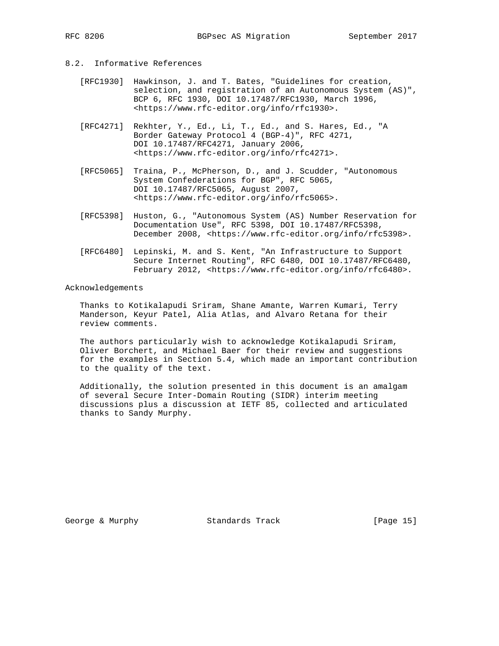## 8.2. Informative References

- [RFC1930] Hawkinson, J. and T. Bates, "Guidelines for creation, selection, and registration of an Autonomous System (AS)", BCP 6, RFC 1930, DOI 10.17487/RFC1930, March 1996, <https://www.rfc-editor.org/info/rfc1930>.
- [RFC4271] Rekhter, Y., Ed., Li, T., Ed., and S. Hares, Ed., "A Border Gateway Protocol 4 (BGP-4)", RFC 4271, DOI 10.17487/RFC4271, January 2006, <https://www.rfc-editor.org/info/rfc4271>.
- [RFC5065] Traina, P., McPherson, D., and J. Scudder, "Autonomous System Confederations for BGP", RFC 5065, DOI 10.17487/RFC5065, August 2007, <https://www.rfc-editor.org/info/rfc5065>.
- [RFC5398] Huston, G., "Autonomous System (AS) Number Reservation for Documentation Use", RFC 5398, DOI 10.17487/RFC5398, December 2008, <https://www.rfc-editor.org/info/rfc5398>.
- [RFC6480] Lepinski, M. and S. Kent, "An Infrastructure to Support Secure Internet Routing", RFC 6480, DOI 10.17487/RFC6480, February 2012, <https://www.rfc-editor.org/info/rfc6480>.

Acknowledgements

 Thanks to Kotikalapudi Sriram, Shane Amante, Warren Kumari, Terry Manderson, Keyur Patel, Alia Atlas, and Alvaro Retana for their review comments.

 The authors particularly wish to acknowledge Kotikalapudi Sriram, Oliver Borchert, and Michael Baer for their review and suggestions for the examples in Section 5.4, which made an important contribution to the quality of the text.

 Additionally, the solution presented in this document is an amalgam of several Secure Inter-Domain Routing (SIDR) interim meeting discussions plus a discussion at IETF 85, collected and articulated thanks to Sandy Murphy.

George & Murphy Standards Track [Page 15]